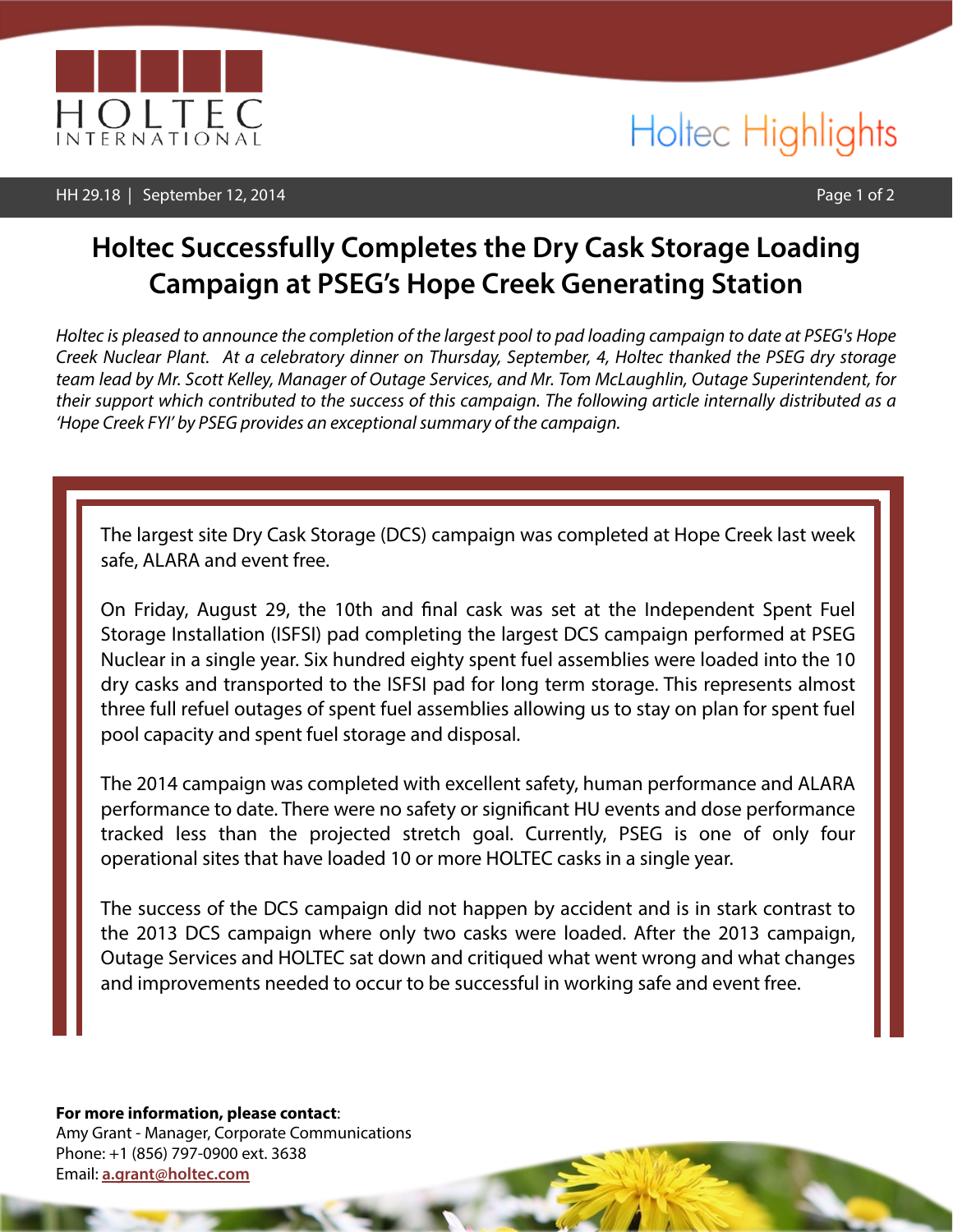

### HH 29.18 | September 12, 2014 | Page 1 of 2

# Holtec Highlights

## **Holtec Successfully Completes the Dry Cask Storage Loading Campaign at PSEG's Hope Creek Generating Station**

*Holtec is pleased to announce the completion of the largest pool to pad loading campaign to date at PSEG's Hope Creek Nuclear Plant. At a celebratory dinner on Thursday, September, 4, Holtec thanked the PSEG dry storage team lead by Mr. Scott Kelley, Manager of Outage Services, and Mr. Tom McLaughlin, Outage Superintendent, for their support which contributed to the success of this campaign. The following article internally distributed as a 'Hope Creek FYI' by PSEG provides an exceptional summary of the campaign.*

The largest site Dry Cask Storage (DCS) campaign was completed at Hope Creek last week safe, ALARA and event free.

On Friday, August 29, the 10th and fnal cask was set at the Independent Spent Fuel Storage Installation (ISFSI) pad completing the largest DCS campaign performed at PSEG Nuclear in a single year. Six hundred eighty spent fuel assemblies were loaded into the 10 dry casks and transported to the ISFSI pad for long term storage. This represents almost three full refuel outages of spent fuel assemblies allowing us to stay on plan for spent fuel pool capacity and spent fuel storage and disposal.

The 2014 campaign was completed with excellent safety, human performance and ALARA performance to date. There were no safety or signifcant HU events and dose performance tracked less than the projected stretch goal. Currently, PSEG is one of only four operational sites that have loaded 10 or more HOLTEC casks in a single year.

The success of the DCS campaign did not happen by accident and is in stark contrast to the 2013 DCS campaign where only two casks were loaded. After the 2013 campaign, Outage Services and HOLTEC sat down and critiqued what went wrong and what changes and improvements needed to occur to be successful in working safe and event free.

**For more information, please contact**: Amy Grant - Manager, Corporate Communications Phone: +1 (856) 797-0900 ext. 3638 Email: **[a.grant@holtec.com](mailto:a.grant@holtec.com)**